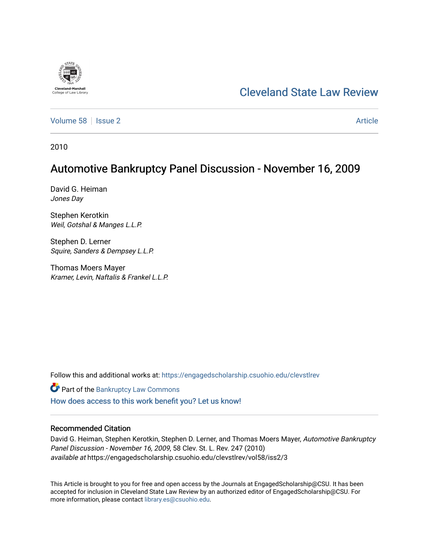# [Cleveland State Law Review](https://engagedscholarship.csuohio.edu/clevstlrev)

[Volume 58](https://engagedscholarship.csuohio.edu/clevstlrev/vol58) | [Issue 2](https://engagedscholarship.csuohio.edu/clevstlrev/vol58/iss2) Article

2010

**Cleveland-Marshal**<br>College of Law Libra

## Automotive Bankruptcy Panel Discussion - November 16, 2009

David G. Heiman Jones Day

Stephen Kerotkin Weil, Gotshal & Manges L.L.P.

Stephen D. Lerner Squire, Sanders & Dempsey L.L.P.

Thomas Moers Mayer Kramer, Levin, Naftalis & Frankel L.L.P.

Follow this and additional works at: [https://engagedscholarship.csuohio.edu/clevstlrev](https://engagedscholarship.csuohio.edu/clevstlrev?utm_source=engagedscholarship.csuohio.edu%2Fclevstlrev%2Fvol58%2Fiss2%2F3&utm_medium=PDF&utm_campaign=PDFCoverPages)

**Part of the Bankruptcy Law Commons** 

[How does access to this work benefit you? Let us know!](http://library.csuohio.edu/engaged/)

## Recommended Citation

David G. Heiman, Stephen Kerotkin, Stephen D. Lerner, and Thomas Moers Mayer, Automotive Bankruptcy Panel Discussion - November 16, 2009, 58 Clev. St. L. Rev. 247 (2010) available at https://engagedscholarship.csuohio.edu/clevstlrev/vol58/iss2/3

This Article is brought to you for free and open access by the Journals at EngagedScholarship@CSU. It has been accepted for inclusion in Cleveland State Law Review by an authorized editor of EngagedScholarship@CSU. For more information, please contact [library.es@csuohio.edu](mailto:library.es@csuohio.edu).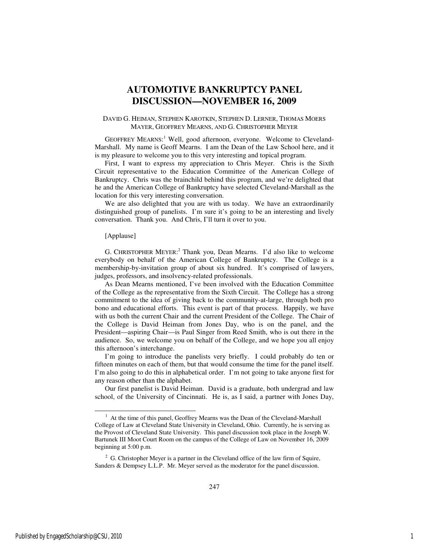## **AUTOMOTIVE BANKRUPTCY PANEL DISCUSSION—NOVEMBER 16, 2009**

## DAVID G. HEIMAN, STEPHEN KAROTKIN, STEPHEN D. LERNER, THOMAS MOERS MAYER, GEOFFREY MEARNS, AND G. CHRISTOPHER MEYER

GEOFFREY MEARNS:<sup>1</sup> Well, good afternoon, everyone. Welcome to Cleveland-Marshall. My name is Geoff Mearns. I am the Dean of the Law School here, and it is my pleasure to welcome you to this very interesting and topical program.

First, I want to express my appreciation to Chris Meyer. Chris is the Sixth Circuit representative to the Education Committee of the American College of Bankruptcy. Chris was the brainchild behind this program, and we're delighted that he and the American College of Bankruptcy have selected Cleveland-Marshall as the location for this very interesting conversation.

We are also delighted that you are with us today. We have an extraordinarily distinguished group of panelists. I'm sure it's going to be an interesting and lively conversation. Thank you. And Chris, I'll turn it over to you.

#### [Applause]

G. CHRISTOPHER MEYER:<sup>2</sup> Thank you, Dean Mearns. I'd also like to welcome everybody on behalf of the American College of Bankruptcy. The College is a membership-by-invitation group of about six hundred. It's comprised of lawyers, judges, professors, and insolvency-related professionals.

As Dean Mearns mentioned, I've been involved with the Education Committee of the College as the representative from the Sixth Circuit. The College has a strong commitment to the idea of giving back to the community-at-large, through both pro bono and educational efforts. This event is part of that process. Happily, we have with us both the current Chair and the current President of the College. The Chair of the College is David Heiman from Jones Day, who is on the panel, and the President—aspiring Chair—is Paul Singer from Reed Smith, who is out there in the audience. So, we welcome you on behalf of the College, and we hope you all enjoy this afternoon's interchange.

I'm going to introduce the panelists very briefly. I could probably do ten or fifteen minutes on each of them, but that would consume the time for the panel itself. I'm also going to do this in alphabetical order. I'm not going to take anyone first for any reason other than the alphabet.

Our first panelist is David Heiman. David is a graduate, both undergrad and law school, of the University of Cincinnati. He is, as I said, a partner with Jones Day,

l

<sup>&</sup>lt;sup>1</sup> At the time of this panel, Geoffrey Mearns was the Dean of the Cleveland-Marshall College of Law at Cleveland State University in Cleveland, Ohio. Currently, he is serving as the Provost of Cleveland State University. This panel discussion took place in the Joseph W. Bartunek III Moot Court Room on the campus of the College of Law on November 16, 2009 beginning at 5:00 p.m.

 $2^2$  G. Christopher Meyer is a partner in the Cleveland office of the law firm of Squire, Sanders & Dempsey L.L.P. Mr. Meyer served as the moderator for the panel discussion.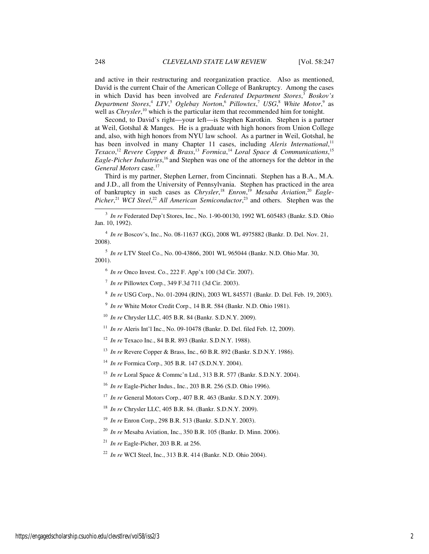and active in their restructuring and reorganization practice. Also as mentioned, David is the current Chair of the American College of Bankruptcy. Among the cases in which David has been involved are *Federated Department Stores*, <sup>3</sup> *Boskov's Department Stores*, <sup>4</sup> *LTV*, <sup>5</sup> *Oglebay Norton*, <sup>6</sup> *Pillowtex*, <sup>7</sup> *USG*, <sup>8</sup> *White Motor*, 9 as well as *Chrysler*,<sup>10</sup> which is the particular item that recommended him for tonight.

Second, to David's right—your left—is Stephen Karotkin. Stephen is a partner at Weil, Gotshal & Manges. He is a graduate with high honors from Union College and, also, with high honors from NYU law school. As a partner in Weil, Gotshal, he has been involved in many Chapter 11 cases, including *Aleris International*,<sup>11</sup> *Texaco*, <sup>12</sup> *Revere Copper & Brass*, <sup>13</sup> *Formica*, <sup>14</sup> *Loral Space & Communications*, 15 Eagle-Picher Industries,<sup>16</sup> and Stephen was one of the attorneys for the debtor in the General Motors case.<sup>17</sup>

Third is my partner, Stephen Lerner, from Cincinnati. Stephen has a B.A., M.A. and J.D., all from the University of Pennsylvania. Stephen has practiced in the area of bankruptcy in such cases as *Chrysler*, <sup>18</sup> *Enron*, <sup>19</sup> *Mesaba Aviation*, <sup>20</sup> *Eagle-*Picher,<sup>21</sup> *WCI Steel*,<sup>22</sup> *All American Semiconductor*,<sup>23</sup> and others. Stephen was the

4 *In re* Boscov's, Inc., No. 08-11637 (KG), 2008 WL 4975882 (Bankr. D. Del. Nov. 21, 2008).

5 *In re* LTV Steel Co., No. 00-43866, 2001 WL 965044 (Bankr. N.D. Ohio Mar. 30, 2001).

6 *In re* Onco Invest. Co., 222 F. App'x 100 (3d Cir. 2007).

7 *In re* Pillowtex Corp*.*, 349 F.3d 711 (3d Cir. 2003).

8 *In re* USG Corp., No. 01-2094 (RJN), 2003 WL 845571 (Bankr. D. Del. Feb. 19, 2003).

9 *In re* White Motor Credit Corp., 14 B.R. 584 (Bankr. N.D. Ohio 1981).

<sup>10</sup> *In re* Chrysler LLC, 405 B.R. 84 (Bankr. S.D.N.Y. 2009).

<sup>11</sup> *In re* Aleris Int'l Inc., No. 09-10478 (Bankr. D. Del. filed Feb. 12, 2009).

<sup>12</sup> *In re* Texaco Inc., 84 B.R. 893 (Bankr. S.D.N.Y. 1988).

<sup>13</sup> *In re* Revere Copper & Brass, Inc., 60 B.R. 892 (Bankr. S.D.N.Y. 1986).

<sup>14</sup> *In re* Formica Corp., 305 B.R. 147 (S.D.N.Y. 2004).

<sup>15</sup> *In re* Loral Space & Commc'n Ltd., 313 B.R. 577 (Bankr. S.D.N.Y. 2004).

<sup>16</sup> *In re* Eagle-Picher Indus., Inc., 203 B.R. 256 (S.D. Ohio 1996).

<sup>17</sup> *In re* General Motors Corp., 407 B.R. 463 (Bankr. S.D.N.Y. 2009).

<sup>18</sup> *In re* Chrysler LLC, 405 B.R. 84. (Bankr. S.D.N.Y. 2009).

<sup>19</sup> *In re* Enron Corp., 298 B.R. 513 (Bankr. S.D.N.Y. 2003).

<sup>20</sup> *In re* Mesaba Aviation, Inc., 350 B.R. 105 (Bankr. D. Minn. 2006).

<sup>21</sup> *In re* Eagle-Picher, 203 B.R. at 256.

<sup>22</sup> *In re* WCI Steel, Inc., 313 B.R. 414 (Bankr. N.D. Ohio 2004).

j

<sup>3</sup> *In re* Federated Dep't Stores, Inc., No. 1-90-00130, 1992 WL 605483 (Bankr. S.D. Ohio Jan. 10, 1992).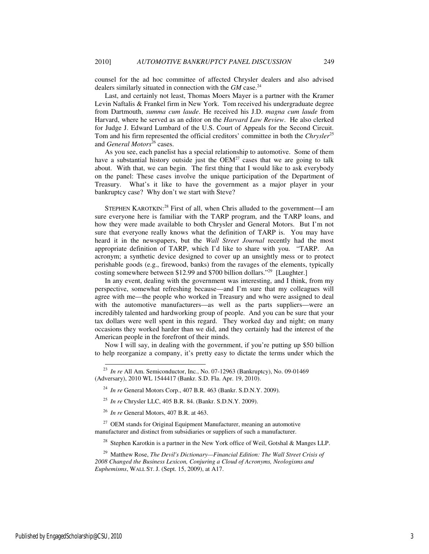counsel for the ad hoc committee of affected Chrysler dealers and also advised dealers similarly situated in connection with the *GM* case.<sup>24</sup>

Last, and certainly not least, Thomas Moers Mayer is a partner with the Kramer Levin Naftalis & Frankel firm in New York. Tom received his undergraduate degree from Dartmouth, *summa cum laude*. He received his J.D. *magna cum laude* from Harvard, where he served as an editor on the *Harvard Law Review*. He also clerked for Judge J. Edward Lumbard of the U.S. Court of Appeals for the Second Circuit. Tom and his firm represented the official creditors' committee in both the *Chrysler*<sup>25</sup> and *General Motors*<sup>26</sup> cases.

As you see, each panelist has a special relationship to automotive. Some of them have a substantial history outside just the  $OEM^{27}$  cases that we are going to talk about. With that, we can begin. The first thing that I would like to ask everybody on the panel: These cases involve the unique participation of the Department of Treasury. What's it like to have the government as a major player in your bankruptcy case? Why don't we start with Steve?

STEPHEN KAROTKIN:<sup>28</sup> First of all, when Chris alluded to the government-I am sure everyone here is familiar with the TARP program, and the TARP loans, and how they were made available to both Chrysler and General Motors. But I'm not sure that everyone really knows what the definition of TARP is. You may have heard it in the newspapers, but the *Wall Street Journal* recently had the most appropriate definition of TARP, which I'd like to share with you. "TARP. An acronym; a synthetic device designed to cover up an unsightly mess or to protect perishable goods (e.g., firewood, banks) from the ravages of the elements, typically costing somewhere between \$12.99 and \$700 billion dollars."<sup>29</sup> [Laughter.]

In any event, dealing with the government was interesting, and I think, from my perspective, somewhat refreshing because—and I'm sure that my colleagues will agree with me—the people who worked in Treasury and who were assigned to deal with the automotive manufacturers—as well as the parts suppliers—were an incredibly talented and hardworking group of people. And you can be sure that your tax dollars were well spent in this regard. They worked day and night; on many occasions they worked harder than we did, and they certainly had the interest of the American people in the forefront of their minds.

Now I will say, in dealing with the government, if you're putting up \$50 billion to help reorganize a company, it's pretty easy to dictate the terms under which the

 $\overline{a}$ 

<sup>23</sup> *In re* All Am. Semiconductor, Inc*.*, No. 07-12963 (Bankruptcy), No. 09-01469 (Adversary), 2010 WL 1544417 (Bankr. S.D. Fla. Apr. 19, 2010).

<sup>24</sup> *In re* General Motors Corp., 407 B.R. 463 (Bankr. S.D.N.Y. 2009).

<sup>25</sup> *In re* Chrysler LLC, 405 B.R. 84. (Bankr. S.D.N.Y. 2009).

<sup>26</sup> *In re* General Motors, 407 B.R. at 463.

 $27$  OEM stands for Original Equipment Manufacturer, meaning an automotive manufacturer and distinct from subsidiaries or suppliers of such a manufacturer.

<sup>&</sup>lt;sup>28</sup> Stephen Karotkin is a partner in the New York office of Weil, Gotshal & Manges LLP.

<sup>29</sup> Matthew Rose, *The Devil's Dictionary—Financial Edition: The Wall Street Crisis of 2008 Changed the Business Lexicon, Conjuring a Cloud of Acronyms, Neologisms and Euphemisms*, WALL ST. J. (Sept. 15, 2009), at A17.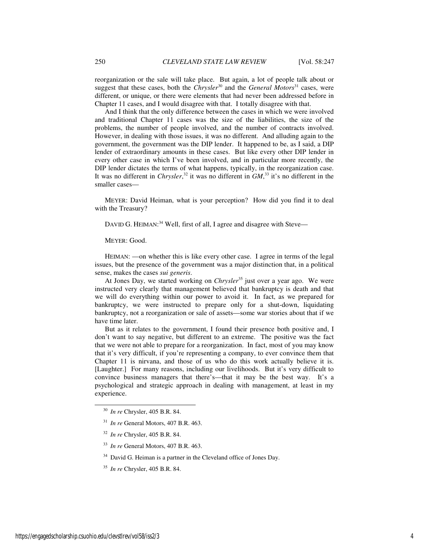reorganization or the sale will take place. But again, a lot of people talk about or suggest that these cases, both the *Chrysler*<sup>30</sup> and the *General Motors*<sup>31</sup> cases, were different, or unique, or there were elements that had never been addressed before in Chapter 11 cases, and I would disagree with that. I totally disagree with that.

And I think that the only difference between the cases in which we were involved and traditional Chapter 11 cases was the size of the liabilities, the size of the problems, the number of people involved, and the number of contracts involved. However, in dealing with those issues, it was no different. And alluding again to the government, the government was the DIP lender. It happened to be, as I said, a DIP lender of extraordinary amounts in these cases. But like every other DIP lender in every other case in which I've been involved, and in particular more recently, the DIP lender dictates the terms of what happens, typically, in the reorganization case. It was no different in *Chrysler*<sup>32</sup> it was no different in *GM*<sup>33</sup> it's no different in the smaller cases—

MEYER: David Heiman, what is your perception? How did you find it to deal with the Treasury?

DAVID G. HEIMAN:<sup>34</sup> Well, first of all, I agree and disagree with Steve—

MEYER: Good.

HEIMAN: —on whether this is like every other case. I agree in terms of the legal issues, but the presence of the government was a major distinction that, in a political sense, makes the cases *sui generis*.

At Jones Day, we started working on *Chrysler*<sup>35</sup> just over a year ago. We were instructed very clearly that management believed that bankruptcy is death and that we will do everything within our power to avoid it. In fact, as we prepared for bankruptcy, we were instructed to prepare only for a shut-down, liquidating bankruptcy, not a reorganization or sale of assets—some war stories about that if we have time later.

But as it relates to the government, I found their presence both positive and, I don't want to say negative, but different to an extreme. The positive was the fact that we were not able to prepare for a reorganization. In fact, most of you may know that it's very difficult, if you're representing a company, to ever convince them that Chapter 11 is nirvana, and those of us who do this work actually believe it is. [Laughter.] For many reasons, including our livelihoods. But it's very difficult to convince business managers that there's—that it may be the best way. It's a psychological and strategic approach in dealing with management, at least in my experience.

l

<sup>30</sup> *In re* Chrysler, 405 B.R. 84.

<sup>31</sup> *In re* General Motors, 407 B.R. 463.

<sup>32</sup> *In re* Chrysler, 405 B.R. 84.

<sup>33</sup> *In re* General Motors, 407 B.R. 463.

<sup>&</sup>lt;sup>34</sup> David G. Heiman is a partner in the Cleveland office of Jones Day.

<sup>35</sup> *In re* Chrysler, 405 B.R. 84.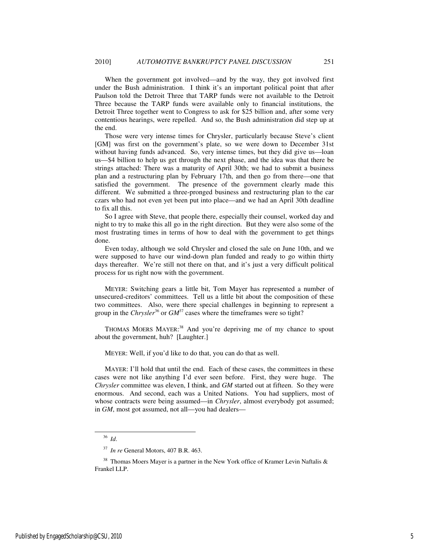When the government got involved—and by the way, they got involved first under the Bush administration. I think it's an important political point that after Paulson told the Detroit Three that TARP funds were not available to the Detroit Three because the TARP funds were available only to financial institutions, the Detroit Three together went to Congress to ask for \$25 billion and, after some very contentious hearings, were repelled. And so, the Bush administration did step up at the end.

Those were very intense times for Chrysler, particularly because Steve's client [GM] was first on the government's plate, so we were down to December 31st without having funds advanced. So, very intense times, but they did give us—loan us—\$4 billion to help us get through the next phase, and the idea was that there be strings attached: There was a maturity of April 30th; we had to submit a business plan and a restructuring plan by February 17th, and then go from there—one that satisfied the government. The presence of the government clearly made this different. We submitted a three-pronged business and restructuring plan to the car czars who had not even yet been put into place—and we had an April 30th deadline to fix all this.

So I agree with Steve, that people there, especially their counsel, worked day and night to try to make this all go in the right direction. But they were also some of the most frustrating times in terms of how to deal with the government to get things done.

Even today, although we sold Chrysler and closed the sale on June 10th, and we were supposed to have our wind-down plan funded and ready to go within thirty days thereafter. We're still not there on that, and it's just a very difficult political process for us right now with the government.

MEYER: Switching gears a little bit, Tom Mayer has represented a number of unsecured-creditors' committees. Tell us a little bit about the composition of these two committees. Also, were there special challenges in beginning to represent a group in the *Chrysler*<sup>36</sup> or  $GM^{37}$  cases where the timeframes were so tight?

THOMAS MOERS MAYER:<sup>38</sup> And you're depriving me of my chance to spout about the government, huh? [Laughter.]

MEYER: Well, if you'd like to do that, you can do that as well.

MAYER: I'll hold that until the end. Each of these cases, the committees in these cases were not like anything I'd ever seen before. First, they were huge. The *Chrysler* committee was eleven, I think, and *GM* started out at fifteen. So they were enormous. And second, each was a United Nations. You had suppliers, most of whose contracts were being assumed—in *Chrysler*, almost everybody got assumed; in *GM*, most got assumed, not all—you had dealers—

l

<sup>36</sup> *Id*.

<sup>37</sup> *In re* General Motors, 407 B.R. 463.

 $38$  Thomas Moers Mayer is a partner in the New York office of Kramer Levin Naftalis & Frankel LLP.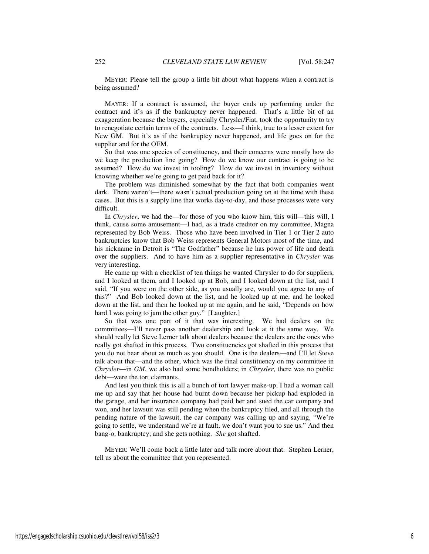MEYER: Please tell the group a little bit about what happens when a contract is being assumed?

MAYER: If a contract is assumed, the buyer ends up performing under the contract and it's as if the bankruptcy never happened. That's a little bit of an exaggeration because the buyers, especially Chrysler/Fiat, took the opportunity to try to renegotiate certain terms of the contracts. Less—I think, true to a lesser extent for New GM. But it's as if the bankruptcy never happened, and life goes on for the supplier and for the OEM.

So that was one species of constituency, and their concerns were mostly how do we keep the production line going? How do we know our contract is going to be assumed? How do we invest in tooling? How do we invest in inventory without knowing whether we're going to get paid back for it?

The problem was diminished somewhat by the fact that both companies went dark. There weren't—there wasn't actual production going on at the time with these cases. But this is a supply line that works day-to-day, and those processes were very difficult.

In *Chrysler*, we had the—for those of you who know him, this will—this will, I think, cause some amusement—I had, as a trade creditor on my committee, Magna represented by Bob Weiss. Those who have been involved in Tier 1 or Tier 2 auto bankruptcies know that Bob Weiss represents General Motors most of the time, and his nickname in Detroit is "The Godfather" because he has power of life and death over the suppliers. And to have him as a supplier representative in *Chrysler* was very interesting.

He came up with a checklist of ten things he wanted Chrysler to do for suppliers, and I looked at them, and I looked up at Bob, and I looked down at the list, and I said, "If you were on the other side, as you usually are, would you agree to any of this?" And Bob looked down at the list, and he looked up at me, and he looked down at the list, and then he looked up at me again, and he said, "Depends on how hard I was going to jam the other guy." [Laughter.]

So that was one part of it that was interesting. We had dealers on the committees—I'll never pass another dealership and look at it the same way. We should really let Steve Lerner talk about dealers because the dealers are the ones who really got shafted in this process. Two constituencies got shafted in this process that you do not hear about as much as you should. One is the dealers—and I'll let Steve talk about that—and the other, which was the final constituency on my committee in *Chrysler*—in *GM*, we also had some bondholders; in *Chrysler*, there was no public debt—were the tort claimants.

And lest you think this is all a bunch of tort lawyer make-up, I had a woman call me up and say that her house had burnt down because her pickup had exploded in the garage, and her insurance company had paid her and sued the car company and won, and her lawsuit was still pending when the bankruptcy filed, and all through the pending nature of the lawsuit, the car company was calling up and saying, "We're going to settle, we understand we're at fault, we don't want you to sue us." And then bang-o, bankruptcy; and she gets nothing. *She* got shafted.

MEYER: We'll come back a little later and talk more about that. Stephen Lerner, tell us about the committee that you represented.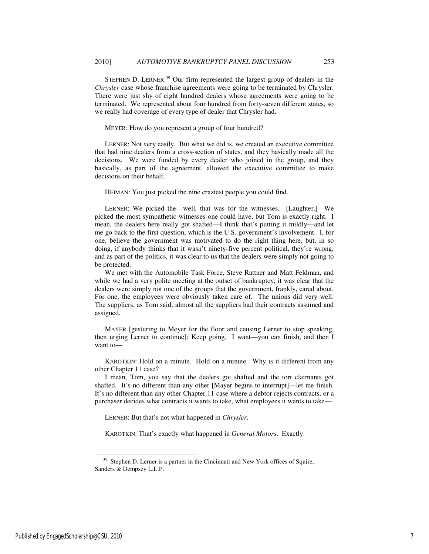STEPHEN D. LERNER:<sup>39</sup> Our firm represented the largest group of dealers in the *Chrysler* case whose franchise agreements were going to be terminated by Chrysler. There were just shy of eight hundred dealers whose agreements were going to be terminated. We represented about four hundred from forty-seven different states, so we really had coverage of every type of dealer that Chrysler had.

### MEYER: How do you represent a group of four hundred?

LERNER: Not very easily. But what we did is, we created an executive committee that had nine dealers from a cross-section of states, and they basically made all the decisions. We were funded by every dealer who joined in the group, and they basically, as part of the agreement, allowed the executive committee to make decisions on their behalf.

HEIMAN: You just picked the nine craziest people you could find.

LERNER: We picked the—well, that was for the witnesses. [Laughter.] We picked the most sympathetic witnesses one could have, but Tom is exactly right. I mean, the dealers here really got shafted—I think that's putting it mildly—and let me go back to the first question, which is the U.S. government's involvement. I, for one, believe the government was motivated to do the right thing here, but, in so doing, if anybody thinks that it wasn't ninety-five percent political, they're wrong, and as part of the politics, it was clear to us that the dealers were simply not going to be protected.

We met with the Automobile Task Force, Steve Rattner and Matt Feldman, and while we had a very polite meeting at the outset of bankruptcy, it was clear that the dealers were simply not one of the groups that the government, frankly, cared about. For one, the employees were obviously taken care of. The unions did very well. The suppliers, as Tom said, almost all the suppliers had their contracts assumed and assigned.

MAYER [gesturing to Meyer for the floor and causing Lerner to stop speaking, then urging Lerner to continue]: Keep going. I want—you can finish, and then I want to—

KAROTKIN: Hold on a minute. Hold on a minute. Why is it different from any other Chapter 11 case?

I mean, Tom, you say that the dealers got shafted and the tort claimants got shafted. It's no different than any other [Mayer begins to interrupt]—let me finish. It's no different than any other Chapter 11 case where a debtor rejects contracts, or a purchaser decides what contracts it wants to take, what employees it wants to take—

LERNER: But that's not what happened in *Chrysler*.

KAROTKIN: That's exactly what happened in *General Motors*. Exactly.

-

<sup>&</sup>lt;sup>39</sup> Stephen D. Lerner is a partner in the Cincinnati and New York offices of Squire, Sanders & Dempsey L.L.P.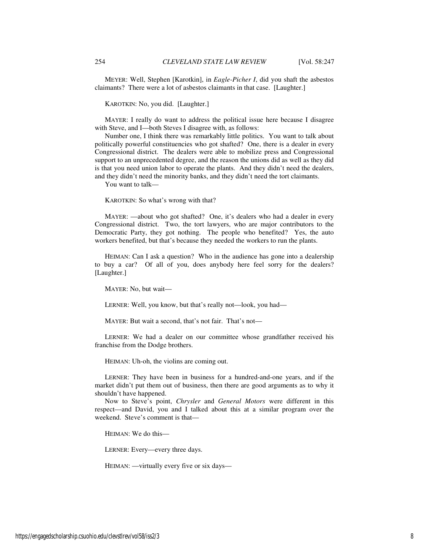MEYER: Well, Stephen [Karotkin], in *Eagle-Picher I*, did you shaft the asbestos claimants? There were a lot of asbestos claimants in that case. [Laughter.]

KAROTKIN: No, you did. [Laughter.]

MAYER: I really do want to address the political issue here because I disagree with Steve, and I—both Steves I disagree with, as follows:

Number one, I think there was remarkably little politics. You want to talk about politically powerful constituencies who got shafted? One, there is a dealer in every Congressional district. The dealers were able to mobilize press and Congressional support to an unprecedented degree, and the reason the unions did as well as they did is that you need union labor to operate the plants. And they didn't need the dealers, and they didn't need the minority banks, and they didn't need the tort claimants.

You want to talk—

KAROTKIN: So what's wrong with that?

MAYER: —about who got shafted? One, it's dealers who had a dealer in every Congressional district. Two, the tort lawyers, who are major contributors to the Democratic Party, they got nothing. The people who benefited? Yes, the auto workers benefited, but that's because they needed the workers to run the plants.

HEIMAN: Can I ask a question? Who in the audience has gone into a dealership to buy a car? Of all of you, does anybody here feel sorry for the dealers? [Laughter.]

MAYER: No, but wait—

LERNER: Well, you know, but that's really not—look, you had—

MAYER: But wait a second, that's not fair. That's not—

LERNER: We had a dealer on our committee whose grandfather received his franchise from the Dodge brothers.

HEIMAN: Uh-oh, the violins are coming out.

LERNER: They have been in business for a hundred-and-one years, and if the market didn't put them out of business, then there are good arguments as to why it shouldn't have happened.

Now to Steve's point, *Chrysler* and *General Motors* were different in this respect—and David, you and I talked about this at a similar program over the weekend. Steve's comment is that—

HEIMAN: We do this—

LERNER: Every—every three days.

HEIMAN: —virtually every five or six days—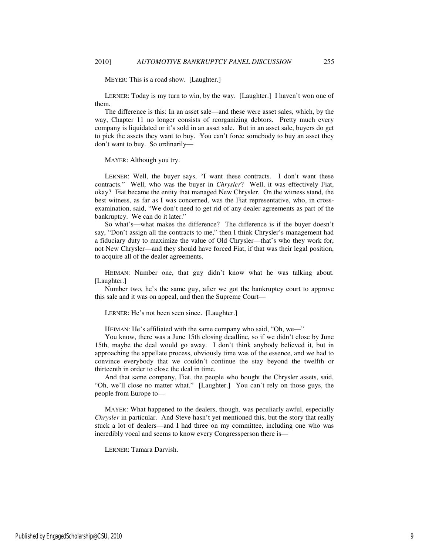MEYER: This is a road show. [Laughter.]

LERNER: Today is my turn to win, by the way. [Laughter.] I haven't won one of them.

The difference is this: In an asset sale—and these were asset sales, which, by the way, Chapter 11 no longer consists of reorganizing debtors. Pretty much every company is liquidated or it's sold in an asset sale. But in an asset sale, buyers do get to pick the assets they want to buy. You can't force somebody to buy an asset they don't want to buy. So ordinarily—

MAYER: Although you try.

LERNER: Well, the buyer says, "I want these contracts. I don't want these contracts." Well, who was the buyer in *Chrysler*? Well, it was effectively Fiat, okay? Fiat became the entity that managed New Chrysler. On the witness stand, the best witness, as far as I was concerned, was the Fiat representative, who, in crossexamination, said, "We don't need to get rid of any dealer agreements as part of the bankruptcy. We can do it later."

So what's—what makes the difference? The difference is if the buyer doesn't say, "Don't assign all the contracts to me," then I think Chrysler's management had a fiduciary duty to maximize the value of Old Chrysler—that's who they work for, not New Chrysler—and they should have forced Fiat, if that was their legal position, to acquire all of the dealer agreements.

HEIMAN: Number one, that guy didn't know what he was talking about. [Laughter.]

Number two, he's the same guy, after we got the bankruptcy court to approve this sale and it was on appeal, and then the Supreme Court—

LERNER: He's not been seen since. [Laughter.]

HEIMAN: He's affiliated with the same company who said, "Oh, we—"

You know, there was a June 15th closing deadline, so if we didn't close by June 15th, maybe the deal would go away. I don't think anybody believed it, but in approaching the appellate process, obviously time was of the essence, and we had to convince everybody that we couldn't continue the stay beyond the twelfth or thirteenth in order to close the deal in time.

And that same company, Fiat, the people who bought the Chrysler assets, said, "Oh, we'll close no matter what." [Laughter.] You can't rely on those guys, the people from Europe to—

MAYER: What happened to the dealers, though, was peculiarly awful, especially *Chrysler* in particular. And Steve hasn't yet mentioned this, but the story that really stuck a lot of dealers—and I had three on my committee, including one who was incredibly vocal and seems to know every Congressperson there is—

LERNER: Tamara Darvish.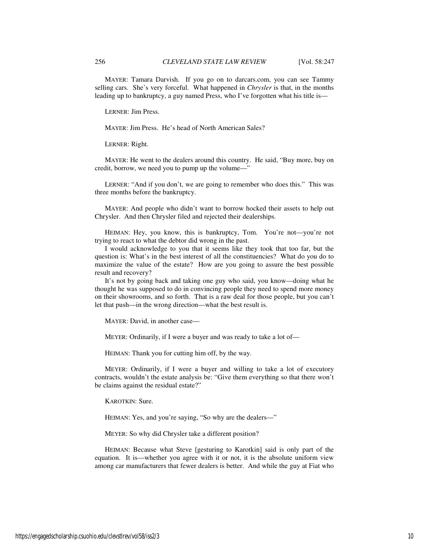MAYER: Tamara Darvish. If you go on to darcars.com, you can see Tammy selling cars. She's very forceful. What happened in *Chrysler* is that, in the months leading up to bankruptcy, a guy named Press, who I've forgotten what his title is—

LERNER: Jim Press.

MAYER: Jim Press. He's head of North American Sales?

LERNER: Right.

MAYER: He went to the dealers around this country. He said, "Buy more, buy on credit, borrow, we need you to pump up the volume—"

LERNER: "And if you don't, we are going to remember who does this." This was three months before the bankruptcy.

MAYER: And people who didn't want to borrow hocked their assets to help out Chrysler. And then Chrysler filed and rejected their dealerships.

HEIMAN: Hey, you know, this is bankruptcy, Tom. You're not—you're not trying to react to what the debtor did wrong in the past.

I would acknowledge to you that it seems like they took that too far, but the question is: What's in the best interest of all the constituencies? What do you do to maximize the value of the estate? How are you going to assure the best possible result and recovery?

It's not by going back and taking one guy who said, you know—doing what he thought he was supposed to do in convincing people they need to spend more money on their showrooms, and so forth. That is a raw deal for those people, but you can't let that push—in the wrong direction—what the best result is.

MAYER: David, in another case—

MEYER: Ordinarily, if I were a buyer and was ready to take a lot of—

HEIMAN: Thank you for cutting him off, by the way.

MEYER: Ordinarily, if I were a buyer and willing to take a lot of executory contracts, wouldn't the estate analysis be: "Give them everything so that there won't be claims against the residual estate?"

KAROTKIN: Sure.

HEIMAN: Yes, and you're saying, "So why are the dealers—"

MEYER: So why did Chrysler take a different position?

HEIMAN: Because what Steve [gesturing to Karotkin] said is only part of the equation. It is—whether you agree with it or not, it is the absolute uniform view among car manufacturers that fewer dealers is better. And while the guy at Fiat who

https://engagedscholarship.csuohio.edu/clevstlrev/vol58/iss2/3 10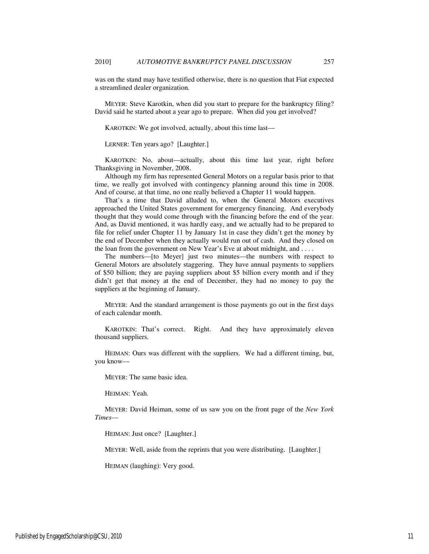was on the stand may have testified otherwise, there is no question that Fiat expected a streamlined dealer organization.

MEYER: Steve Karotkin, when did you start to prepare for the bankruptcy filing? David said he started about a year ago to prepare. When did you get involved?

KAROTKIN: We got involved, actually, about this time last—

LERNER: Ten years ago? [Laughter.]

KAROTKIN: No, about—actually, about this time last year, right before Thanksgiving in November, 2008.

Although my firm has represented General Motors on a regular basis prior to that time, we really got involved with contingency planning around this time in 2008. And of course, at that time, no one really believed a Chapter 11 would happen.

That's a time that David alluded to, when the General Motors executives approached the United States government for emergency financing. And everybody thought that they would come through with the financing before the end of the year. And, as David mentioned, it was hardly easy, and we actually had to be prepared to file for relief under Chapter 11 by January 1st in case they didn't get the money by the end of December when they actually would run out of cash. And they closed on the loan from the government on New Year's Eve at about midnight, and . . . .

The numbers—[to Meyer] just two minutes—the numbers with respect to General Motors are absolutely staggering. They have annual payments to suppliers of \$50 billion; they are paying suppliers about \$5 billion every month and if they didn't get that money at the end of December, they had no money to pay the suppliers at the beginning of January.

MEYER: And the standard arrangement is those payments go out in the first days of each calendar month.

KAROTKIN: That's correct. Right. And they have approximately eleven thousand suppliers.

HEIMAN: Ours was different with the suppliers. We had a different timing, but, you know—

MEYER: The same basic idea.

HEIMAN: Yeah.

MEYER: David Heiman, some of us saw you on the front page of the *New York Times*—

HEIMAN: Just once? [Laughter.]

MEYER: Well, aside from the reprints that you were distributing. [Laughter.]

HEIMAN (laughing): Very good.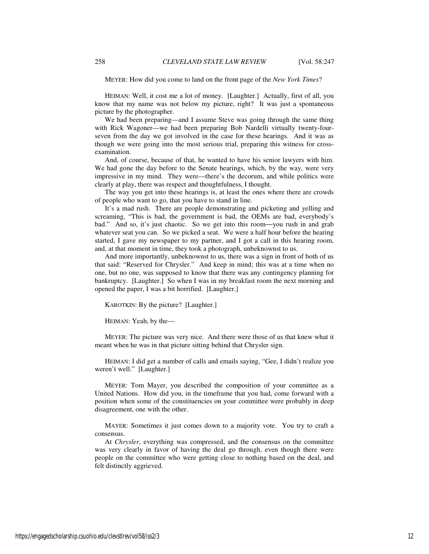MEYER: How did you come to land on the front page of the *New York Times*?

HEIMAN: Well, it cost me a lot of money. [Laughter.] Actually, first of all, you know that my name was not below my picture, right? It was just a spontaneous picture by the photographer.

We had been preparing—and I assume Steve was going through the same thing with Rick Wagoner—we had been preparing Bob Nardelli virtually twenty-fourseven from the day we got involved in the case for these hearings. And it was as though we were going into the most serious trial, preparing this witness for crossexamination.

And, of course, because of that, he wanted to have his senior lawyers with him. We had gone the day before to the Senate hearings, which, by the way, were very impressive in my mind. They were—there's the decorum, and while politics were clearly at play, there was respect and thoughtfulness, I thought.

The way you get into these hearings is, at least the ones where there are crowds of people who want to go, that you have to stand in line.

It's a mad rush. There are people demonstrating and picketing and yelling and screaming, "This is bad, the government is bad, the OEMs are bad, everybody's bad." And so, it's just chaotic. So we get into this room—you rush in and grab whatever seat you can. So we picked a seat. We were a half hour before the hearing started, I gave my newspaper to my partner, and I got a call in this hearing room, and, at that moment in time, they took a photograph, unbeknownst to us.

And more importantly, unbeknownst to us, there was a sign in front of both of us that said: "Reserved for Chrysler." And keep in mind; this was at a time when no one, but no one, was supposed to know that there was any contingency planning for bankruptcy. [Laughter.] So when I was in my breakfast room the next morning and opened the paper, I was a bit horrified. [Laughter.]

KAROTKIN: By the picture? [Laughter.]

HEIMAN: Yeah, by the—

MEYER: The picture was very nice. And there were those of us that knew what it meant when he was in that picture sitting behind that Chrysler sign.

HEIMAN: I did get a number of calls and emails saying, "Gee, I didn't realize you weren't well." [Laughter.]

MEYER: Tom Mayer, you described the composition of your committee as a United Nations. How did you, in the timeframe that you had, come forward with a position when some of the constituencies on your committee were probably in deep disagreement, one with the other.

MAYER: Sometimes it just comes down to a majority vote. You try to craft a consensus.

At *Chrysler*, everything was compressed, and the consensus on the committee was very clearly in favor of having the deal go through, even though there were people on the committee who were getting close to nothing based on the deal, and felt distinctly aggrieved.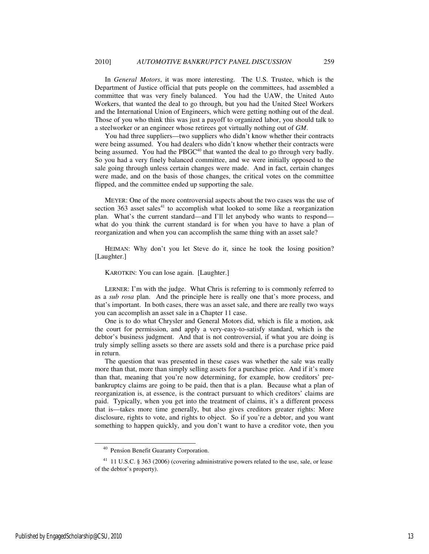In *General Motors*, it was more interesting. The U.S. Trustee, which is the Department of Justice official that puts people on the committees, had assembled a committee that was very finely balanced. You had the UAW, the United Auto Workers, that wanted the deal to go through, but you had the United Steel Workers and the International Union of Engineers, which were getting nothing out of the deal. Those of you who think this was just a payoff to organized labor, you should talk to a steelworker or an engineer whose retirees got virtually nothing out of *GM*.

You had three suppliers—two suppliers who didn't know whether their contracts were being assumed. You had dealers who didn't know whether their contracts were being assumed. You had the PBGC<sup>40</sup> that wanted the deal to go through very badly. So you had a very finely balanced committee, and we were initially opposed to the sale going through unless certain changes were made. And in fact, certain changes were made, and on the basis of those changes, the critical votes on the committee flipped, and the committee ended up supporting the sale.

MEYER: One of the more controversial aspects about the two cases was the use of section  $363$  asset sales<sup>41</sup> to accomplish what looked to some like a reorganization plan. What's the current standard—and I'll let anybody who wants to respond what do you think the current standard is for when you have to have a plan of reorganization and when you can accomplish the same thing with an asset sale?

HEIMAN: Why don't you let Steve do it, since he took the losing position? [Laughter.]

### KAROTKIN: You can lose again. [Laughter.]

LERNER: I'm with the judge. What Chris is referring to is commonly referred to as a *sub rosa* plan. And the principle here is really one that's more process, and that's important. In both cases, there was an asset sale, and there are really two ways you can accomplish an asset sale in a Chapter 11 case.

One is to do what Chrysler and General Motors did, which is file a motion, ask the court for permission, and apply a very-easy-to-satisfy standard, which is the debtor's business judgment. And that is not controversial, if what you are doing is truly simply selling assets so there are assets sold and there is a purchase price paid in return.

The question that was presented in these cases was whether the sale was really more than that, more than simply selling assets for a purchase price. And if it's more than that, meaning that you're now determining, for example, how creditors' prebankruptcy claims are going to be paid, then that is a plan. Because what a plan of reorganization is, at essence, is the contract pursuant to which creditors' claims are paid. Typically, when you get into the treatment of claims, it's a different process that is—takes more time generally, but also gives creditors greater rights: More disclosure, rights to vote, and rights to object. So if you're a debtor, and you want something to happen quickly, and you don't want to have a creditor vote, then you

-

<sup>40</sup> Pension Benefit Guaranty Corporation.

<sup>&</sup>lt;sup>41</sup> 11 U.S.C. § 363 (2006) (covering administrative powers related to the use, sale, or lease of the debtor's property).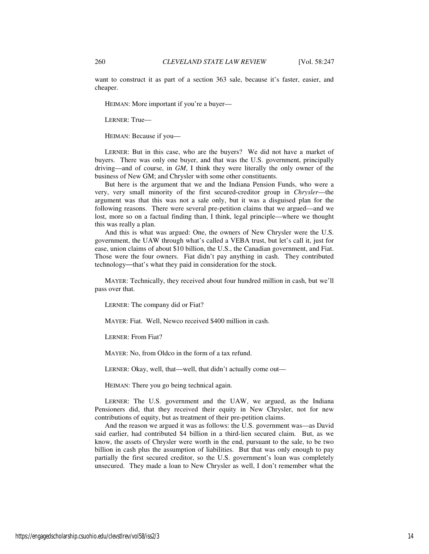want to construct it as part of a section 363 sale, because it's faster, easier, and cheaper.

HEIMAN: More important if you're a buyer—

LERNER: True—

HEIMAN: Because if you—

LERNER: But in this case, who are the buyers? We did not have a market of buyers. There was only one buyer, and that was the U.S. government, principally driving—and of course, in *GM*, I think they were literally the only owner of the business of New GM; and Chrysler with some other constituents.

But here is the argument that we and the Indiana Pension Funds, who were a very, very small minority of the first secured-creditor group in *Chrysler*—the argument was that this was not a sale only, but it was a disguised plan for the following reasons. There were several pre-petition claims that we argued—and we lost, more so on a factual finding than, I think, legal principle—where we thought this was really a plan.

And this is what was argued: One, the owners of New Chrysler were the U.S. government, the UAW through what's called a VEBA trust, but let's call it, just for ease, union claims of about \$10 billion, the U.S., the Canadian government, and Fiat. Those were the four owners. Fiat didn't pay anything in cash. They contributed technology—that's what they paid in consideration for the stock.

MAYER: Technically, they received about four hundred million in cash, but we'll pass over that.

LERNER: The company did or Fiat?

MAYER: Fiat. Well, Newco received \$400 million in cash.

LERNER: From Fiat?

MAYER: No, from Oldco in the form of a tax refund.

LERNER: Okay, well, that—well, that didn't actually come out—

HEIMAN: There you go being technical again.

LERNER: The U.S. government and the UAW, we argued, as the Indiana Pensioners did, that they received their equity in New Chrysler, not for new contributions of equity, but as treatment of their pre-petition claims.

And the reason we argued it was as follows: the U.S. government was—as David said earlier, had contributed \$4 billion in a third-lien secured claim. But, as we know, the assets of Chrysler were worth in the end, pursuant to the sale, to be two billion in cash plus the assumption of liabilities. But that was only enough to pay partially the first secured creditor, so the U.S. government's loan was completely unsecured. They made a loan to New Chrysler as well, I don't remember what the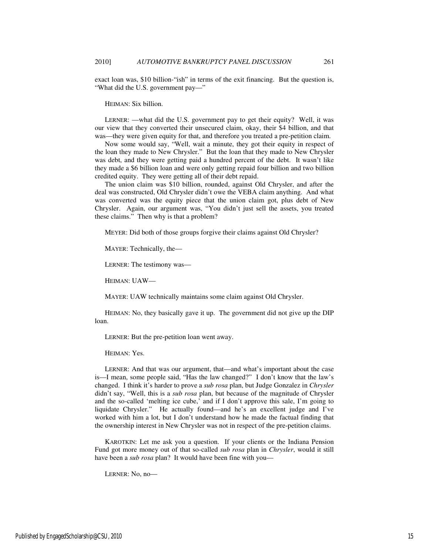exact loan was, \$10 billion-"ish" in terms of the exit financing. But the question is, "What did the U.S. government pay—"

HEIMAN: Six billion.

LERNER: —what did the U.S. government pay to get their equity? Well, it was our view that they converted their unsecured claim, okay, their \$4 billion, and that was—they were given equity for that, and therefore you treated a pre-petition claim.

Now some would say, "Well, wait a minute, they got their equity in respect of the loan they made to New Chrysler." But the loan that they made to New Chrysler was debt, and they were getting paid a hundred percent of the debt. It wasn't like they made a \$6 billion loan and were only getting repaid four billion and two billion credited equity. They were getting all of their debt repaid.

The union claim was \$10 billion, rounded, against Old Chrysler, and after the deal was constructed, Old Chrysler didn't owe the VEBA claim anything. And what was converted was the equity piece that the union claim got, plus debt of New Chrysler. Again, our argument was, "You didn't just sell the assets, you treated these claims." Then why is that a problem?

MEYER: Did both of those groups forgive their claims against Old Chrysler?

MAYER: Technically, the—

LERNER: The testimony was—

HEIMAN: UAW—

MAYER: UAW technically maintains some claim against Old Chrysler.

HEIMAN: No, they basically gave it up. The government did not give up the DIP loan.

LERNER: But the pre-petition loan went away.

HEIMAN: Yes.

LERNER: And that was our argument, that—and what's important about the case is—I mean, some people said, "Has the law changed?" I don't know that the law's changed. I think it's harder to prove a *sub rosa* plan, but Judge Gonzalez in *Chrysler* didn't say, "Well, this is a *sub rosa* plan, but because of the magnitude of Chrysler and the so-called 'melting ice cube,' and if I don't approve this sale, I'm going to liquidate Chrysler." He actually found—and he's an excellent judge and I've worked with him a lot, but I don't understand how he made the factual finding that the ownership interest in New Chrysler was not in respect of the pre-petition claims.

KAROTKIN: Let me ask you a question. If your clients or the Indiana Pension Fund got more money out of that so-called *sub rosa* plan in *Chrysler*, would it still have been a *sub rosa* plan? It would have been fine with you—

LERNER: No, no—

Published by EngagedScholarship@CSU, 2010 15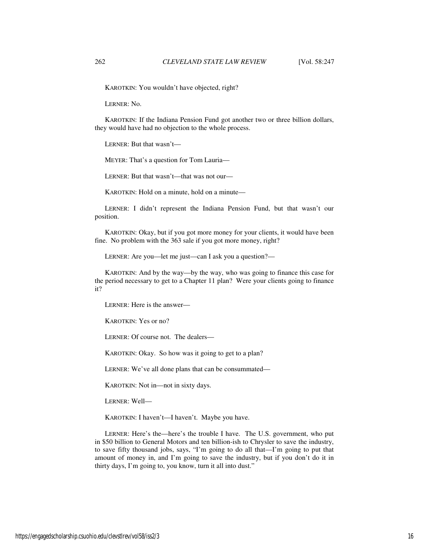KAROTKIN: You wouldn't have objected, right?

LERNER: No.

KAROTKIN: If the Indiana Pension Fund got another two or three billion dollars, they would have had no objection to the whole process.

LERNER: But that wasn't—

MEYER: That's a question for Tom Lauria—

LERNER: But that wasn't—that was not our—

KAROTKIN: Hold on a minute, hold on a minute—

LERNER: I didn't represent the Indiana Pension Fund, but that wasn't our position.

KAROTKIN: Okay, but if you got more money for your clients, it would have been fine. No problem with the 363 sale if you got more money, right?

LERNER: Are you—let me just—can I ask you a question?—

KAROTKIN: And by the way—by the way, who was going to finance this case for the period necessary to get to a Chapter 11 plan? Were your clients going to finance it?

LERNER: Here is the answer—

KAROTKIN: Yes or no?

LERNER: Of course not. The dealers—

KAROTKIN: Okay. So how was it going to get to a plan?

LERNER: We've all done plans that can be consummated—

KAROTKIN: Not in—not in sixty days.

LERNER: Well—

KAROTKIN: I haven't—I haven't. Maybe you have.

LERNER: Here's the—here's the trouble I have. The U.S. government, who put in \$50 billion to General Motors and ten billion-ish to Chrysler to save the industry, to save fifty thousand jobs, says, "I'm going to do all that—I'm going to put that amount of money in, and I'm going to save the industry, but if you don't do it in thirty days, I'm going to, you know, turn it all into dust."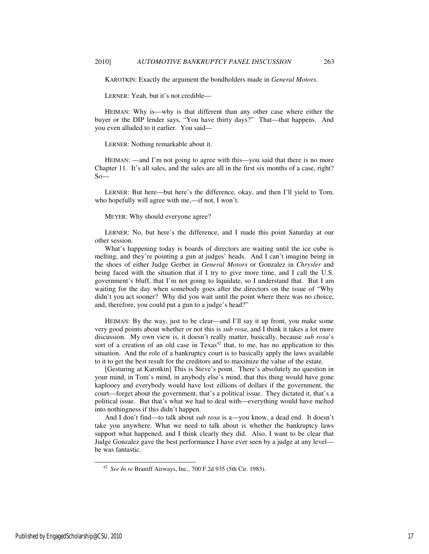KAROTKIN: Exactly the argument the bondholders made in *General Motors*.

LERNER: Yeah, but it's not credible—

HEIMAN: Why is—why is that different than any other case where either the buyer or the DIP lender says, "You have thirty days?" That—that happens. And you even alluded to it earlier. You said—

LERNER: Nothing remarkable about it.

HEIMAN: —and I'm not going to agree with this—you said that there is no more Chapter 11. It's all sales, and the sales are all in the first six months of a case, right?  $So$ —

LERNER: But here—but here's the difference, okay, and then I'll yield to Tom, who hopefully will agree with me,—if not, I won't.

MEYER: Why should everyone agree?

LERNER: No, but here's the difference, and I made this point Saturday at our other session.

What's happening today is boards of directors are waiting until the ice cube is melting, and they're pointing a gun at judges' heads. And I can't imagine being in the shoes of either Judge Gerber in *General Motors* or Gonzalez in *Chrysler* and being faced with the situation that if I try to give more time, and I call the U.S. government's bluff, that I'm not going to liquidate, so I understand that. But I am waiting for the day when somebody goes after the directors on the issue of "Why didn't you act sooner? Why did you wait until the point where there was no choice, and, therefore, you could put a gun to a judge's head?"

HEIMAN: By the way, just to be clear—and I'll say it up front, you make some very good points about whether or not this is *sub rosa*, and I think it takes a lot more discussion. My own view is, it doesn't really matter, basically, because *sub rosa*'s sort of a creation of an old case in  $Texas^{42}$  that, to me, has no application to this situation. And the role of a bankruptcy court is to basically apply the laws available to it to get the best result for the creditors and to maximize the value of the estate.

[Gesturing at Karotkin] This is Steve's point. There's absolutely no question in your mind, in Tom's mind, in anybody else's mind, that this thing would have gone kaplooey and everybody would have lost zillions of dollars if the government, the court—forget about the government, that's a political issue. They dictated it, that's a political issue. But that's what we had to deal with—everything would have melted into nothingness if this didn't happen.

And I don't find—to talk about *sub rosa* is a—you know, a dead end. It doesn't take you anywhere. What we need to talk about is whether the bankruptcy laws support what happened, and I think clearly they did. Also, I want to be clear that Judge Gonzalez gave the best performance I have ever seen by a judge at any level he was fantastic.

Published by EngagedScholarship@CSU, 2010 17

l

<sup>42</sup> *See In re* Braniff Airways, Inc., 700 F.2d 935 (5th Cir. 1983).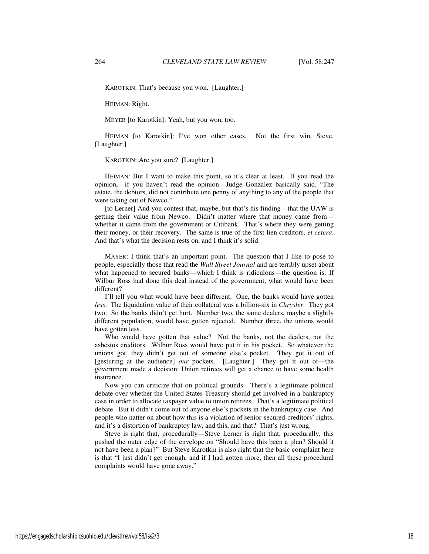KAROTKIN: That's because you won. [Laughter.]

HEIMAN: Right.

MEYER [to Karotkin]: Yeah, but you won, too.

HEIMAN [to Karotkin]: I've won other cases. Not the first win, Steve. [Laughter.]

KAROTKIN: Are you sure? [Laughter.]

HEIMAN: But I want to make this point, so it's clear at least. If you read the opinion,—if you haven't read the opinion—Judge Gonzalez basically said, "The estate, the debtors, did not contribute one penny of anything to any of the people that were taking out of Newco."

[to Lerner] And you contest that, maybe, but that's his finding—that the UAW is getting their value from Newco. Didn't matter where that money came from whether it came from the government or Citibank. That's where they were getting their money, or their recovery. The same is true of the first-lien creditors, *et cetera*. And that's what the decision rests on, and I think it's solid.

MAYER: I think that's an important point. The question that I like to pose to people, especially those that read the *Wall Street Journal* and are terribly upset about what happened to secured banks—which I think is ridiculous—the question is: If Wilbur Ross had done this deal instead of the government, what would have been different?

I'll tell you what would have been different. One, the banks would have gotten *less*. The liquidation value of their collateral was a billion-six in *Chrysler*. They got two. So the banks didn't get hurt. Number two, the same dealers, maybe a slightly different population, would have gotten rejected. Number three, the unions would have gotten less.

Who would have gotten that value? Not the banks, not the dealers, not the asbestos creditors. Wilbur Ross would have put it in his pocket. So whatever the unions got, they didn't get out of someone else's pocket. They got it out of [gesturing at the audience] *our* pockets. [Laughter.] They got it out of—the government made a decision: Union retirees will get a chance to have some health insurance.

Now you can criticize that on political grounds. There's a legitimate political debate over whether the United States Treasury should get involved in a bankruptcy case in order to allocate taxpayer value to union retirees. That's a legitimate political debate. But it didn't come out of anyone else's pockets in the bankruptcy case. And people who natter on about how this is a violation of senior-secured-creditors' rights, and it's a distortion of bankruptcy law, and this, and that? That's just wrong.

Steve is right that, procedurally—Steve Lerner is right that, procedurally, this pushed the outer edge of the envelope on "Should have this been a plan? Should it not have been a plan?" But Steve Karotkin is also right that the basic complaint here is that "I just didn't get enough, and if I had gotten more, then all these procedural complaints would have gone away."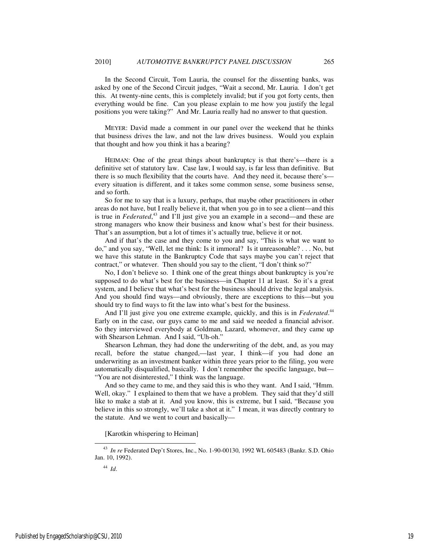In the Second Circuit, Tom Lauria, the counsel for the dissenting banks, was asked by one of the Second Circuit judges, "Wait a second, Mr. Lauria. I don't get this. At twenty-nine cents, this is completely invalid; but if you got forty cents, then everything would be fine. Can you please explain to me how you justify the legal positions you were taking?" And Mr. Lauria really had no answer to that question.

MEYER: David made a comment in our panel over the weekend that he thinks that business drives the law, and not the law drives business. Would you explain that thought and how you think it has a bearing?

HEIMAN: One of the great things about bankruptcy is that there's—there is a definitive set of statutory law. Case law, I would say, is far less than definitive. But there is so much flexibility that the courts have. And they need it, because there's every situation is different, and it takes some common sense, some business sense, and so forth.

So for me to say that is a luxury, perhaps, that maybe other practitioners in other areas do not have, but I really believe it, that when you go in to see a client—and this is true in *Federated*, <sup>43</sup> and I'll just give you an example in a second—and these are strong managers who know their business and know what's best for their business. That's an assumption, but a lot of times it's actually true, believe it or not.

And if that's the case and they come to you and say, "This is what we want to do," and you say, "Well, let me think: Is it immoral? Is it unreasonable? . . . No, but we have this statute in the Bankruptcy Code that says maybe you can't reject that contract," or whatever. Then should you say to the client, "I don't think so?"

No, I don't believe so. I think one of the great things about bankruptcy is you're supposed to do what's best for the business—in Chapter 11 at least. So it's a great system, and I believe that what's best for the business should drive the legal analysis. And you should find ways—and obviously, there are exceptions to this—but you should try to find ways to fit the law into what's best for the business.

And I'll just give you one extreme example, quickly, and this is in *Federated*.<sup>44</sup> Early on in the case, our guys came to me and said we needed a financial advisor. So they interviewed everybody at Goldman, Lazard, whomever, and they came up with Shearson Lehman. And I said, "Uh-oh."

Shearson Lehman, they had done the underwriting of the debt, and, as you may recall, before the statue changed,—last year, I think—if you had done an underwriting as an investment banker within three years prior to the filing, you were automatically disqualified, basically. I don't remember the specific language, but— "You are not disinterested," I think was the language.

And so they came to me, and they said this is who they want. And I said, "Hmm. Well, okay." I explained to them that we have a problem. They said that they'd still like to make a stab at it. And you know, this is extreme, but I said, "Because you believe in this so strongly, we'll take a shot at it." I mean, it was directly contrary to the statute. And we went to court and basically—

[Karotkin whispering to Heiman]

<sup>44</sup> *Id*.

-

<sup>43</sup> *In re* Federated Dep't Stores, Inc., No. 1-90-00130, 1992 WL 605483 (Bankr. S.D. Ohio Jan. 10, 1992).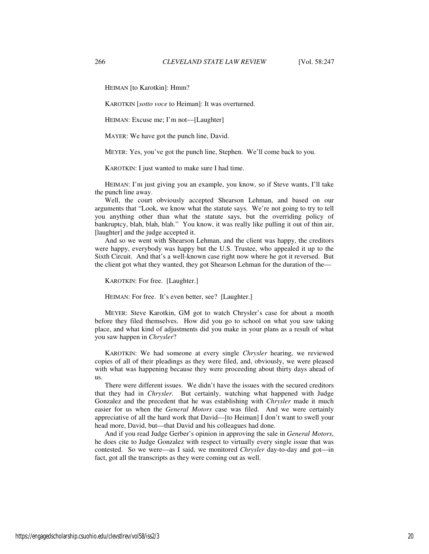HEIMAN [to Karotkin]: Hmm?

KAROTKIN [*sotto voce* to Heiman]: It was overturned.

HEIMAN: Excuse me; I'm not—[Laughter]

MAYER: We have got the punch line, David.

MEYER: Yes, you've got the punch line, Stephen. We'll come back to you.

KAROTKIN: I just wanted to make sure I had time.

HEIMAN: I'm just giving you an example, you know, so if Steve wants, I'll take the punch line away.

Well, the court obviously accepted Shearson Lehman, and based on our arguments that "Look, we know what the statute says. We're not going to try to tell you anything other than what the statute says, but the overriding policy of bankruptcy, blah, blah, blah." You know, it was really like pulling it out of thin air, [laughter] and the judge accepted it.

And so we went with Shearson Lehman, and the client was happy, the creditors were happy, everybody was happy but the U.S. Trustee, who appealed it up to the Sixth Circuit. And that's a well-known case right now where he got it reversed. But the client got what they wanted, they got Shearson Lehman for the duration of the—

KAROTKIN: For free. [Laughter.]

HEIMAN: For free. It's even better, see? [Laughter.]

MEYER: Steve Karotkin, GM got to watch Chrysler's case for about a month before they filed themselves. How did you go to school on what you saw taking place, and what kind of adjustments did you make in your plans as a result of what you saw happen in *Chrysler*?

KAROTKIN: We had someone at every single *Chrysler* hearing, we reviewed copies of all of their pleadings as they were filed, and, obviously, we were pleased with what was happening because they were proceeding about thirty days ahead of us.

There were different issues. We didn't have the issues with the secured creditors that they had in *Chrysler*. But certainly, watching what happened with Judge Gonzalez and the precedent that he was establishing with *Chrysler* made it much easier for us when the *General Motors* case was filed. And we were certainly appreciative of all the hard work that David—[to Heiman] I don't want to swell your head more, David, but—that David and his colleagues had done.

And if you read Judge Gerber's opinion in approving the sale in *General Motors*, he does cite to Judge Gonzalez with respect to virtually every single issue that was contested. So we were—as I said, we monitored *Chrysler* day-to-day and got—in fact, got all the transcripts as they were coming out as well.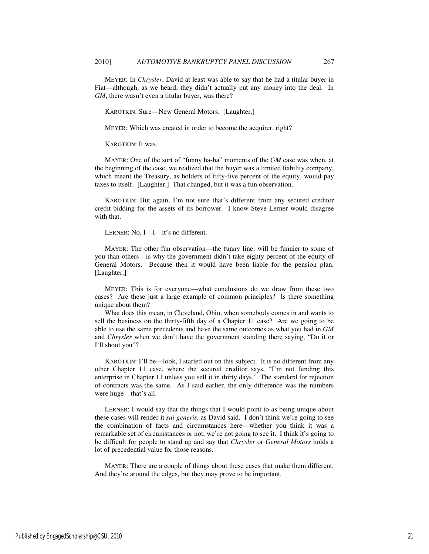MEYER: In *Chrysler*, David at least was able to say that he had a titular buyer in Fiat—although, as we heard, they didn't actually put any money into the deal. In *GM*, there wasn't even a titular buyer, was there?

KAROTKIN: Sure—New General Motors. [Laughter.]

MEYER: Which was created in order to become the acquirer, right?

KAROTKIN: It was.

MAYER: One of the sort of "funny ha-ha" moments of the *GM* case was when, at the beginning of the case, we realized that the buyer was a limited liability company, which meant the Treasury, as holders of fifty-five percent of the equity, would pay taxes to itself. [Laughter.] That changed, but it was a fun observation.

KAROTKIN: But again, I'm not sure that's different from any secured creditor credit bidding for the assets of its borrower. I know Steve Lerner would disagree with that.

LERNER: No, I—I—it's no different.

MAYER: The other fun observation—the funny line; will be funnier to some of you than others—is why the government didn't take eighty percent of the equity of General Motors. Because then it would have been liable for the pension plan. [Laughter.]

MEYER: This is for everyone—what conclusions do we draw from these two cases? Are these just a large example of common principles? Is there something unique about them?

What does this mean, in Cleveland, Ohio, when somebody comes in and wants to sell the business on the thirty-fifth day of a Chapter 11 case? Are we going to be able to use the same precedents and have the same outcomes as what you had in *GM* and *Chrysler* when we don't have the government standing there saying, "Do it or I'll shoot you"?

KAROTKIN: I'll be—look, I started out on this subject. It is no different from any other Chapter 11 case, where the secured creditor says, "I'm not funding this enterprise in Chapter 11 unless you sell it in thirty days." The standard for rejection of contracts was the same. As I said earlier, the only difference was the numbers were huge—that's all.

LERNER: I would say that the things that I would point to as being unique about these cases will render it *sui generis*, as David said. I don't think we're going to see the combination of facts and circumstances here—whether you think it was a remarkable set of circumstances or not, we're not going to see it. I think it's going to be difficult for people to stand up and say that *Chrysler* or *General Motors* holds a lot of precedential value for those reasons.

MAYER: There are a couple of things about these cases that make them different. And they're around the edges, but they may prove to be important.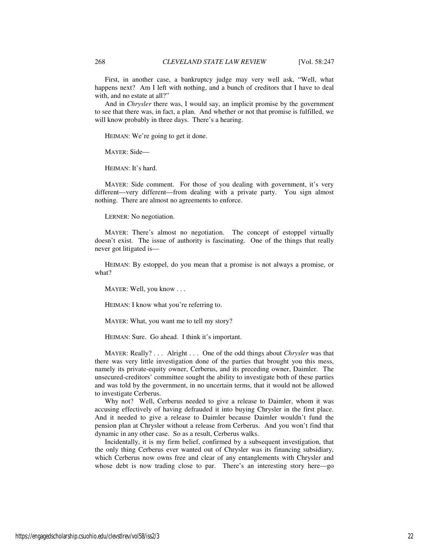First, in another case, a bankruptcy judge may very well ask, "Well, what happens next? Am I left with nothing, and a bunch of creditors that I have to deal with, and no estate at all?"

And in *Chrysler* there was, I would say, an implicit promise by the government to see that there was, in fact, a plan. And whether or not that promise is fulfilled, we will know probably in three days. There's a hearing.

HEIMAN: We're going to get it done.

MAYER: Side—

HEIMAN: It's hard.

MAYER: Side comment. For those of you dealing with government, it's very different—very different—from dealing with a private party. You sign almost nothing. There are almost no agreements to enforce.

LERNER: No negotiation.

MAYER: There's almost no negotiation. The concept of estoppel virtually doesn't exist. The issue of authority is fascinating. One of the things that really never got litigated is—

HEIMAN: By estoppel, do you mean that a promise is not always a promise, or what?

MAYER: Well, you know . . .

HEIMAN: I know what you're referring to.

MAYER: What, you want me to tell my story?

HEIMAN: Sure. Go ahead. I think it's important.

MAYER: Really? . . . Alright . . . One of the odd things about *Chrysler* was that there was very little investigation done of the parties that brought you this mess, namely its private-equity owner, Cerberus, and its preceding owner, Daimler. The unsecured-creditors' committee sought the ability to investigate both of these parties and was told by the government, in no uncertain terms, that it would not be allowed to investigate Cerberus.

Why not? Well, Cerberus needed to give a release to Daimler, whom it was accusing effectively of having defrauded it into buying Chrysler in the first place. And it needed to give a release to Daimler because Daimler wouldn't fund the pension plan at Chrysler without a release from Cerberus. And you won't find that dynamic in any other case. So as a result, Cerberus walks.

Incidentally, it is my firm belief, confirmed by a subsequent investigation, that the only thing Cerberus ever wanted out of Chrysler was its financing subsidiary, which Cerberus now owns free and clear of any entanglements with Chrysler and whose debt is now trading close to par. There's an interesting story here—go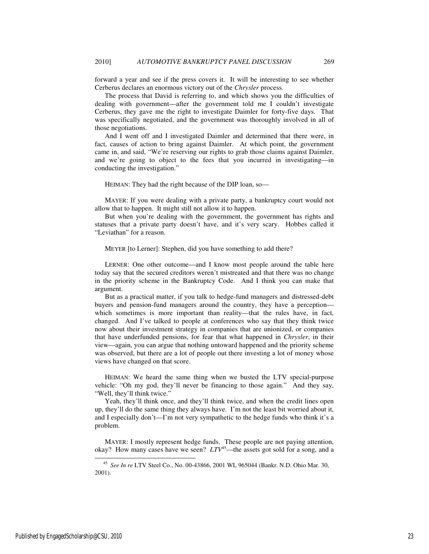forward a year and see if the press covers it. It will be interesting to see whether Cerberus declares an enormous victory out of the *Chrysler* process.

The process that David is referring to, and which shows you the difficulties of dealing with government—after the government told me I couldn't investigate Cerberus, they gave me the right to investigate Daimler for forty-five days. That was specifically negotiated, and the government was thoroughly involved in all of those negotiations.

And I went off and I investigated Daimler and determined that there were, in fact, causes of action to bring against Daimler. At which point, the government came in, and said, "We're reserving our rights to grab those claims against Daimler, and we're going to object to the fees that you incurred in investigating—in conducting the investigation."

HEIMAN: They had the right because of the DIP loan, so—

MAYER: If you were dealing with a private party, a bankruptcy court would not allow that to happen. It might still not allow it to happen.

But when you're dealing with the government, the government has rights and statuses that a private party doesn't have, and it's very scary. Hobbes called it "Leviathan" for a reason.

MEYER [to Lerner]: Stephen, did you have something to add there?

LERNER: One other outcome—and I know most people around the table here today say that the secured creditors weren't mistreated and that there was no change in the priority scheme in the Bankruptcy Code. And I think you can make that argument.

But as a practical matter, if you talk to hedge-fund managers and distressed-debt buyers and pension-fund managers around the country, they have a perception which sometimes is more important than reality—that the rules have, in fact, changed. And I've talked to people at conferences who say that they think twice now about their investment strategy in companies that are unionized, or companies that have underfunded pensions, for fear that what happened in *Chrysler*, in their view—again, you can argue that nothing untoward happened and the priority scheme was observed, but there are a lot of people out there investing a lot of money whose views have changed on that score.

HEIMAN: We heard the same thing when we busted the LTV special-purpose vehicle: "Oh my god, they'll never be financing to those again." And they say, "Well, they'll think twice."

Yeah, they'll think once, and they'll think twice, and when the credit lines open up, they'll do the same thing they always have. I'm not the least bit worried about it, and I especially don't—I'm not very sympathetic to the hedge funds who think it's a problem.

MAYER: I mostly represent hedge funds. These people are not paying attention, okay? How many cases have we seen? *LTV*<sup>45</sup>—the assets got sold for a song, and a

-

<sup>45</sup> *See In re* LTV Steel Co., No. 00-43866, 2001 WL 965044 (Bankr. N.D. Ohio Mar. 30, 2001).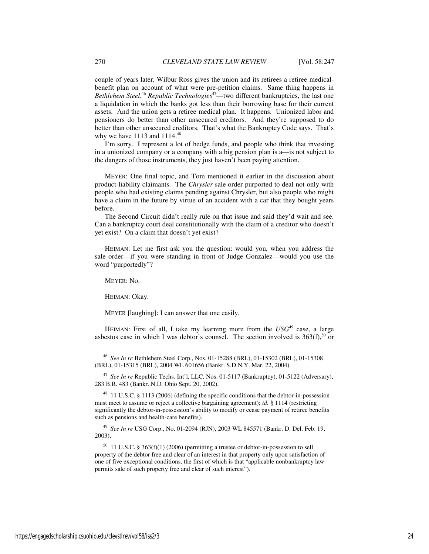couple of years later, Wilbur Ross gives the union and its retirees a retiree medicalbenefit plan on account of what were pre-petition claims. Same thing happens in Bethlehem Steel,<sup>46</sup> Republic Technologies<sup>47</sup>—two different bankruptcies, the last one a liquidation in which the banks got less than their borrowing base for their current assets. And the union gets a retiree medical plan. It happens. Unionized labor and pensioners do better than other unsecured creditors. And they're supposed to do better than other unsecured creditors. That's what the Bankruptcy Code says. That's why we have  $1113$  and  $1114<sup>48</sup>$ 

I'm sorry. I represent a lot of hedge funds, and people who think that investing in a unionized company or a company with a big pension plan is a—is not subject to the dangers of those instruments, they just haven't been paying attention.

MEYER: One final topic, and Tom mentioned it earlier in the discussion about product-liability claimants. The *Chrysler* sale order purported to deal not only with people who had existing claims pending against Chrysler, but also people who might have a claim in the future by virtue of an accident with a car that they bought years before.

The Second Circuit didn't really rule on that issue and said they'd wait and see. Can a bankruptcy court deal constitutionally with the claim of a creditor who doesn't yet exist? On a claim that doesn't yet exist?

HEIMAN: Let me first ask you the question: would you, when you address the sale order—if you were standing in front of Judge Gonzalez—would you use the word "purportedly"?

MEYER: No.

-

HEIMAN: Okay.

MEYER [laughing]: I can answer that one easily.

HEIMAN: First of all, I take my learning more from the  $USG<sup>49</sup>$  case, a large asbestos case in which I was debtor's counsel. The section involved is  $363(f)$ ,<sup>50</sup> or

<sup>49</sup> *See In re* USG Corp., No. 01-2094 (RJN), 2003 WL 845571 (Bankr. D. Del. Feb. 19, 2003).

 $50$  11 U.S.C. § 363(f)(1) (2006) (permitting a trustee or debtor-in-possession to sell property of the debtor free and clear of an interest in that property only upon satisfaction of one of five exceptional conditions, the first of which is that "applicable nonbankruptcy law permits sale of such property free and clear of such interest").

<sup>46</sup> *See In re* Bethlehem Steel Corp., Nos. 01-15288 (BRL), 01-15302 (BRL), 01-15308 (BRL), 01-15315 (BRL), 2004 WL 601656 (Bankr. S.D.N.Y. Mar. 22, 2004).

<sup>47</sup> *See In re* Republic Techs. Int'l, LLC, Nos. 01-5117 (Bankruptcy), 01-5122 (Adversary), 283 B.R. 483 (Bankr. N.D. Ohio Sept. 20, 2002).

<sup>&</sup>lt;sup>48</sup> 11 U.S.C. § 1113 (2006) (defining the specific conditions that the debtor-in-possession must meet to assume or reject a collective bargaining agreement); *id.* § 1114 (restricting significantly the debtor-in-possession's ability to modify or cease payment of retiree benefits such as pensions and health-care benefits).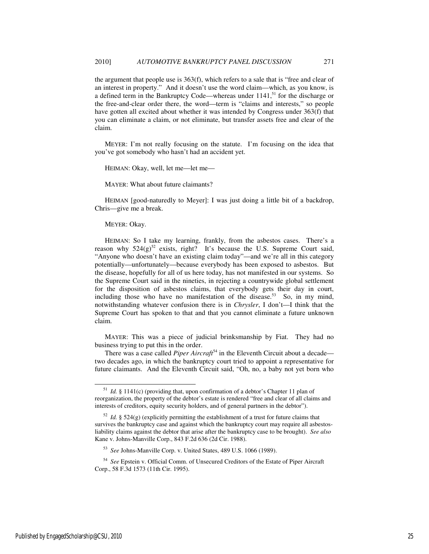the argument that people use is 363(f), which refers to a sale that is "free and clear of an interest in property." And it doesn't use the word claim—which, as you know, is a defined term in the Bankruptcy Code—whereas under  $1141$ ,<sup>51</sup> for the discharge or the free-and-clear order there, the word—term is "claims and interests," so people have gotten all excited about whether it was intended by Congress under 363(f) that you can eliminate a claim, or not eliminate, but transfer assets free and clear of the claim.

MEYER: I'm not really focusing on the statute. I'm focusing on the idea that you've got somebody who hasn't had an accident yet.

HEIMAN: Okay, well, let me—let me—

MAYER: What about future claimants?

HEIMAN [good-naturedly to Meyer]: I was just doing a little bit of a backdrop, Chris—give me a break.

### MEYER: Okay.

HEIMAN: So I take my learning, frankly, from the asbestos cases. There's a reason why  $524(g)^{52}$  exists, right? It's because the U.S. Supreme Court said, "Anyone who doesn't have an existing claim today"—and we're all in this category potentially—unfortunately—because everybody has been exposed to asbestos. But the disease, hopefully for all of us here today, has not manifested in our systems. So the Supreme Court said in the nineties, in rejecting a countrywide global settlement for the disposition of asbestos claims, that everybody gets their day in court, including those who have no manifestation of the disease.<sup>53</sup> So, in my mind, notwithstanding whatever confusion there is in *Chrysler*, I don't—I think that the Supreme Court has spoken to that and that you cannot eliminate a future unknown claim.

MAYER: This was a piece of judicial brinksmanship by Fiat. They had no business trying to put this in the order.

There was a case called *Piper Aircraft*<sup>54</sup> in the Eleventh Circuit about a decade two decades ago, in which the bankruptcy court tried to appoint a representative for future claimants. And the Eleventh Circuit said, "Oh, no, a baby not yet born who

-

<sup>51</sup> *Id.* § 1141(c) (providing that, upon confirmation of a debtor's Chapter 11 plan of reorganization, the property of the debtor's estate is rendered "free and clear of all claims and interests of creditors, equity security holders, and of general partners in the debtor").

 $52$  *Id.* § 524(g) (explicitly permitting the establishment of a trust for future claims that survives the bankruptcy case and against which the bankruptcy court may require all asbestosliability claims against the debtor that arise after the bankruptcy case to be brought). *See also*  Kane v. Johns-Manville Corp., 843 F.2d 636 (2d Cir. 1988).

<sup>53</sup> *See* Johns-Manville Corp. v. United States, 489 U.S. 1066 (1989).

<sup>54</sup> *See* Epstein v. Official Comm. of Unsecured Creditors of the Estate of Piper Aircraft Corp., 58 F.3d 1573 (11th Cir. 1995).